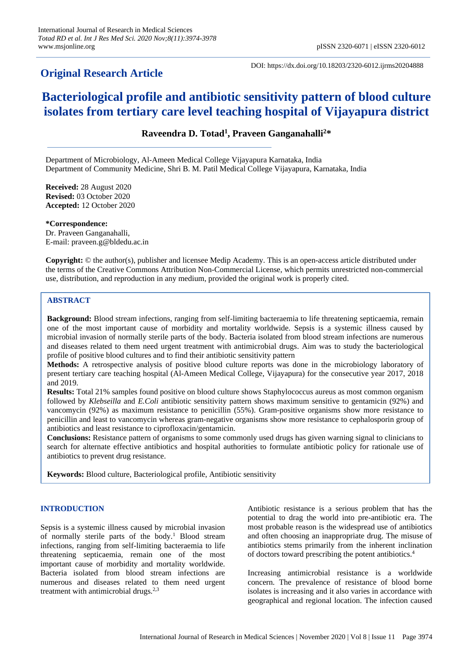## **Original Research Article**

DOI: https://dx.doi.org/10.18203/2320-6012.ijrms20204888

# **Bacteriological profile and antibiotic sensitivity pattern of blood culture isolates from tertiary care level teaching hospital of Vijayapura district**

## **Raveendra D. Totad<sup>1</sup> , Praveen Ganganahalli<sup>2</sup>\***

Department of Microbiology, Al-Ameen Medical College Vijayapura Karnataka, India Department of Community Medicine, Shri B. M. Patil Medical College Vijayapura, Karnataka, India

**Received:** 28 August 2020 **Revised:** 03 October 2020 **Accepted:** 12 October 2020

**\*Correspondence:** Dr. Praveen Ganganahalli, E-mail: praveen.g@bldedu.ac.in

**Copyright:** © the author(s), publisher and licensee Medip Academy. This is an open-access article distributed under the terms of the Creative Commons Attribution Non-Commercial License, which permits unrestricted non-commercial use, distribution, and reproduction in any medium, provided the original work is properly cited.

### **ABSTRACT**

**Background:** Blood stream infections, ranging from self-limiting bacteraemia to life threatening septicaemia, remain one of the most important cause of morbidity and mortality worldwide. Sepsis is a systemic illness caused by microbial invasion of normally sterile parts of the body. Bacteria isolated from blood stream infections are numerous and diseases related to them need urgent treatment with antimicrobial drugs. Aim was to study the bacteriological profile of positive blood cultures and to find their antibiotic sensitivity pattern

**Methods:** A retrospective analysis of positive blood culture reports was done in the microbiology laboratory of present tertiary care teaching hospital (Al-Ameen Medical College, Vijayapura) for the consecutive year 2017, 2018 and 2019.

**Results:** Total 21% samples found positive on blood culture shows Staphylococcus aureus as most common organism followed by *Klebseilla* and *E.Coli* antibiotic sensitivity pattern shows maximum sensitive to gentamicin (92%) and vancomycin (92%) as maximum resistance to penicillin (55%). Gram-positive organisms show more resistance to penicillin and least to vancomycin whereas gram-negative organisms show more resistance to cephalosporin group of antibiotics and least resistance to ciprofloxacin/gentamicin.

**Conclusions:** Resistance pattern of organisms to some commonly used drugs has given warning signal to clinicians to search for alternate effective antibiotics and hospital authorities to formulate antibiotic policy for rationale use of antibiotics to prevent drug resistance.

**Keywords:** Blood culture, Bacteriological profile, Antibiotic sensitivity

#### **INTRODUCTION**

Sepsis is a systemic illness caused by microbial invasion of normally sterile parts of the body.<sup>1</sup> Blood stream infections, ranging from self-limiting bacteraemia to life threatening septicaemia, remain one of the most important cause of morbidity and mortality worldwide. Bacteria isolated from blood stream infections are numerous and diseases related to them need urgent treatment with antimicrobial drugs. $2,3$ 

Antibiotic resistance is a serious problem that has the potential to drag the world into pre-antibiotic era. The most probable reason is the widespread use of antibiotics and often choosing an inappropriate drug. The misuse of antibiotics stems primarily from the inherent inclination of doctors toward prescribing the potent antibiotics.<sup>4</sup>

Increasing antimicrobial resistance is a worldwide concern. The prevalence of resistance of blood borne isolates is increasing and it also varies in accordance with geographical and regional location. The infection caused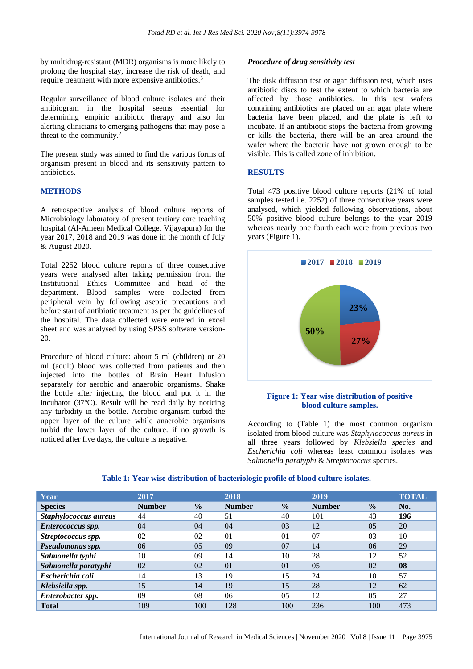by multidrug-resistant (MDR) organisms is more likely to prolong the hospital stay, increase the risk of death, and require treatment with more expensive antibiotics.<sup>5</sup>

Regular surveillance of blood culture isolates and their antibiogram in the hospital seems essential for determining empiric antibiotic therapy and also for alerting clinicians to emerging pathogens that may pose a threat to the community.<sup>2</sup>

The present study was aimed to find the various forms of organism present in blood and its sensitivity pattern to antibiotics.

#### **METHODS**

A retrospective analysis of blood culture reports of Microbiology laboratory of present tertiary care teaching hospital (Al-Ameen Medical College, Vijayapura) for the year 2017, 2018 and 2019 was done in the month of July & August 2020.

Total 2252 blood culture reports of three consecutive years were analysed after taking permission from the Institutional Ethics Committee and head of the department. Blood samples were collected from peripheral vein by following aseptic precautions and before start of antibiotic treatment as per the guidelines of the hospital. The data collected were entered in excel sheet and was analysed by using SPSS software version-20.

Procedure of blood culture: about 5 ml (children) or 20 ml (adult) blood was collected from patients and then injected into the bottles of Brain Heart Infusion separately for aerobic and anaerobic organisms. Shake the bottle after injecting the blood and put it in the incubator  $(37^{\circ}C)$ . Result will be read daily by noticing any turbidity in the bottle. Aerobic organism turbid the upper layer of the culture while anaerobic organisms turbid the lower layer of the culture. if no growth is noticed after five days, the culture is negative.

#### *Procedure of drug sensitivity test*

The disk diffusion test or agar diffusion test, which uses antibiotic discs to test the extent to which bacteria are affected by those antibiotics. In this test wafers containing antibiotics are placed on an agar plate where bacteria have been placed, and the plate is left to incubate. If an antibiotic stops the bacteria from growing or kills the bacteria, there will be an area around the wafer where the bacteria have not grown enough to be visible. This is called zone of inhibition.

#### **RESULTS**

Total 473 positive blood culture reports (21% of total samples tested i.e. 2252) of three consecutive years were analysed, which yielded following observations, about 50% positive blood culture belongs to the year 2019 whereas nearly one fourth each were from previous two years (Figure 1).



#### **Figure 1: Year wise distribution of positive blood culture samples.**

According to (Table 1) the most common organism isolated from blood culture was *Staphylococcus aureus* in all three years followed by *Klebsiella species* and *Escherichia coli* whereas least common isolates was *Salmonella paratyphi* & *Streptococcus* species.

| Year                  | 2017          |               | 2018           |                | 2019          |                | <b>TOTAL</b> |
|-----------------------|---------------|---------------|----------------|----------------|---------------|----------------|--------------|
| <b>Species</b>        | <b>Number</b> | $\frac{0}{0}$ | <b>Number</b>  | $\frac{0}{0}$  | <b>Number</b> | $\frac{0}{0}$  | No.          |
| Staphylococcus aureus | 44            | 40            | 51             | 40             | 101           | 43             | 196          |
| Enterococcus spp.     | 04            | 04            | 04             | 03             | 12            | 0 <sub>5</sub> | 20           |
| Streptococcus spp.    | 02            | 02            | 0 <sub>1</sub> | 01             | 07            | 03             | 10           |
| Pseudomonas spp.      | 06            | 05            | 09             | 07             | 14            | 06             | 29           |
| Salmonella typhi      | 10            | 09            | 14             | 10             | 28            | 12             | 52           |
| Salmonella paratyphi  | 02            | 02            | 0 <sub>1</sub> | 0 <sub>1</sub> | 0.5           | 02             | 08           |
| Escherichia coli      | 14            | 13            | 19             | 15             | 24            | 10             | 57           |
| Klebsiella spp.       | 15            | 14            | 19             | 15             | 28            | 12             | 62           |
| Enterobacter spp.     | 09            | 08            | 06             | 0 <sub>5</sub> | 12            | 0.5            | 27           |
| <b>Total</b>          | 109           | 100           | 128            | 100            | 236           | 100            | 473          |

#### **Table 1: Year wise distribution of bacteriologic profile of blood culture isolates.**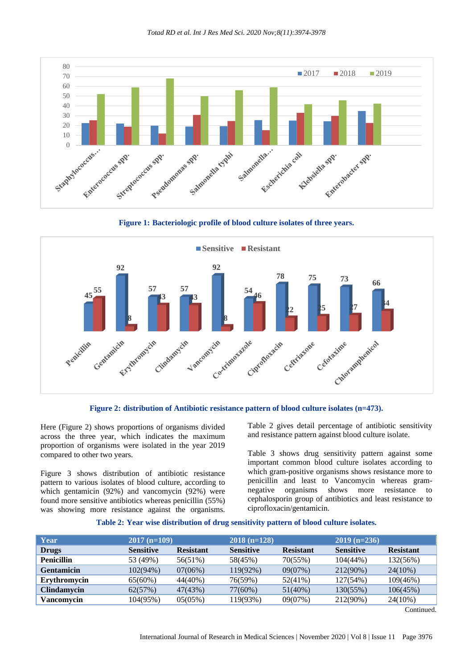

**Figure 1: Bacteriologic profile of blood culture isolates of three years.**





Here (Figure 2) shows proportions of organisms divided across the three year, which indicates the maximum proportion of organisms were isolated in the year 2019 compared to other two years.

Figure 3 shows distribution of antibiotic resistance pattern to various isolates of blood culture, according to which gentamicin (92%) and vancomycin (92%) were found more sensitive antibiotics whereas penicillin (55%) was showing more resistance against the organisms.

Table 2 gives detail percentage of antibiotic sensitivity and resistance pattern against blood culture isolate.

Table 3 shows drug sensitivity pattern against some important common blood culture isolates according to which gram-positive organisms shows resistance more to penicillin and least to Vancomycin whereas gramnegative organisms shows more resistance to cephalosporin group of antibiotics and least resistance to ciprofloxacin/gentamicin.

#### **Table 2: Year wise distribution of drug sensitivity pattern of blood culture isolates.**

| Year               | $2017(n=109)$    |                  | $2018(n=128)$    |                  | $2019$ (n=236)   |                  |  |
|--------------------|------------------|------------------|------------------|------------------|------------------|------------------|--|
| <b>Drugs</b>       | <b>Sensitive</b> | <b>Resistant</b> | <b>Sensitive</b> | <b>Resistant</b> | <b>Sensitive</b> | <b>Resistant</b> |  |
| <b>Penicillin</b>  | 53 (49%)         | 56(51%)          | 58(45%)          | 70(55%)          | 104(44%)         | 132(56%)         |  |
| <b>Gentamicin</b>  | 102(94%)         | 07(06%)          | 119(92%)         | 09(07%)          | 212(90%)         | $24(10\%)$       |  |
| Erythromycin       | 65(60%)          | 44(40%)          | 76(59%)          | $52(41\%)$       | 127(54%)         | $109(46\%)$      |  |
| <b>Clindamycin</b> | 62(57%)          | 47(43%)          | $77(60\%)$       | $51(40\%)$       | 130(55%)         | 106(45%)         |  |
| Vancomvcin         | 104(95%)         | 05(05%)          | 19(93%)          | 09(07%)          | 212(90%)         | 24(10%)          |  |

Continued.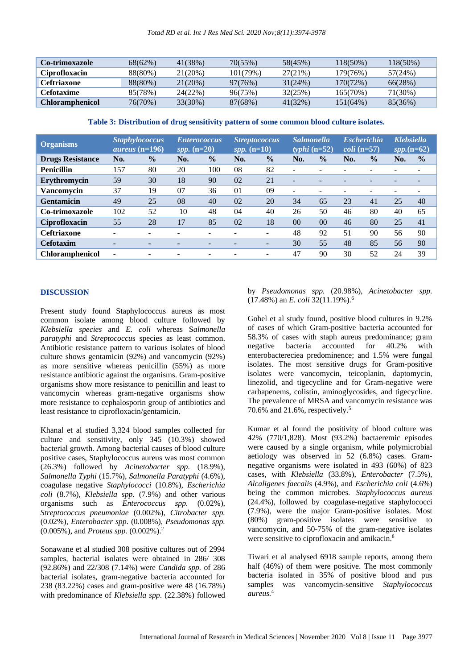| <b>Co-trimoxazole</b>  | 68(62%) | 41(38%) | 70(55%)  | 58(45%) | 118(50%)    | 18(50%) |
|------------------------|---------|---------|----------|---------|-------------|---------|
| <b>Ciprofloxacin</b>   | 88(80%) | 21(20%) | 101(79%) | 27(21%) | 179(76%)    | 57(24%) |
| <b>Ceftriaxone</b>     | 88(80%) | 21(20%) | 97(76%)  | 31(24%) | $170(72\%)$ | 66(28%) |
| Cefotaxime             | 85(78%) | 24(22%) | 96(75%)  | 32(25%) | 165(70%)    | 71(30%) |
| <b>Chloramphenicol</b> | 76(70%) | 33(30%) | 87(68%)  | 41(32%) | 151(64%)    | 85(36%) |

**Table 3: Distribution of drug sensitivity pattern of some common blood culture isolates.**

| <b>Organisms</b>        |     | <b>Staphylococcus</b><br>$\overline{a}$ <i>ureus</i> (n=196) | <i>spp.</i> $(n=20)$ | <i><b>Enterococcus</b></i> | spp. $(n=10)$ | <b>Streptococcus</b>     | <b>Salmonella</b> | typhi $(n=52)$ |     | <b>Escherichia</b><br>$\text{coli}$ (n=57) | <b>Klebsiella</b> | $spp.(n=62)$  |
|-------------------------|-----|--------------------------------------------------------------|----------------------|----------------------------|---------------|--------------------------|-------------------|----------------|-----|--------------------------------------------|-------------------|---------------|
| <b>Drugs Resistance</b> | No. | $\frac{0}{0}$                                                | No.                  | $\frac{1}{2}$              | No.           | $\frac{0}{0}$            | No.               | $\frac{0}{0}$  | No. | $\frac{0}{0}$                              | No.               | $\frac{0}{0}$ |
| <b>Penicillin</b>       | 157 | 80                                                           | 20                   | 100                        | 08            | 82                       |                   |                |     | $\equiv$                                   |                   |               |
| Erythromycin            | 59  | 30                                                           | 18                   | 90                         | 02            | 21                       |                   |                |     |                                            |                   |               |
| Vancomvcin              | 37  | 19                                                           | 07                   | 36                         | 01            | 09                       | -                 |                |     | $\equiv$                                   |                   |               |
| <b>Gentamicin</b>       | 49  | 25                                                           | 08                   | 40                         | 02            | 20                       | 34                | 65             | 23  | 41                                         | 25                | 40            |
| Co-trimoxazole          | 102 | 52                                                           | 10                   | 48                         | 04            | 40                       | 26                | 50             | 46  | 80                                         | 40                | 65            |
| Ciprofloxacin           | 55  | 28                                                           | 17                   | 85                         | 02            | 18                       | 00                | 0 <sup>0</sup> | 46  | 80                                         | 25                | 41            |
| <b>Ceftriaxone</b>      | -   |                                                              | -                    |                            |               |                          | 48                | 92             | 51  | 90                                         | 56                | 90            |
| <b>Cefotaxim</b>        | -   |                                                              | -                    |                            |               | $\overline{\phantom{0}}$ | 30                | 55             | 48  | 85                                         | 56                | 90            |
| <b>Chloramphenicol</b>  | ۰   |                                                              | -                    | -                          |               | -                        | 47                | 90             | 30  | 52                                         | 24                | 39            |

#### **DISCUSSION**

Present study found Staphylococcus aureus as most common isolate among blood culture followed by *Klebsiella species* and *E. coli* whereas S*almonella paratyphi* and *Streptococcu*s species as least common. Antibiotic resistance pattern to various isolates of blood culture shows gentamicin (92%) and vancomycin (92%) as more sensitive whereas penicillin (55%) as more resistance antibiotic against the organisms. Gram-positive organisms show more resistance to penicillin and least to vancomycin whereas gram-negative organisms show more resistance to cephalosporin group of antibiotics and least resistance to ciprofloxacin/gentamicin.

Khanal et al studied 3,324 blood samples collected for culture and sensitivity, only 345 (10.3%) showed bacterial growth. Among bacterial causes of blood culture positive cases, Staphylococcus aureus was most common (26.3%) followed by *Acinetobacter spp*. (18.9%), *Salmonella Typhi* (15.7%), *Salmonella Paratyphi* (4.6%), coagulase negative *Staphylococci* (10.8%), *Escherichia coli* (8.7%), *Klebsiella spp.* (7.9%) and other various organisms such as *Enterococcus spp.* (0.02%), *Streptococcus pneumoniae* (0.002%), *Citrobacter spp.* (0.02%), *Enterobacter spp*. (0.008%), *Pseudomonas spp.* (0.005%), and *Proteus spp.* (0.002%).<sup>2</sup>

Sonawane et al studied 308 positive cultures out of 2994 samples, bacterial isolates were obtained in 286/ 308 (92.86%) and 22/308 (7.14%) were *Candida spp.* of 286 bacterial isolates, gram-negative bacteria accounted for 238 (83.22%) cases and gram-positive were 48 (16.78%) with predominance of *Klebsiella spp*. (22.38%) followed by *Pseudomonas spp.* (20.98%), *Acinetobacter spp.* (17.48%) an *E. coli* 32(11.19%).<sup>6</sup>

Gohel et al study found, positive blood cultures in 9.2% of cases of which Gram-positive bacteria accounted for 58.3% of cases with staph aureus predominance; gram negative bacteria accounted for 40.2% with enterobactereciea predominence; and 1.5% were fungal isolates. The most sensitive drugs for Gram-positive isolates were vancomycin, teicoplanin, daptomycin, linezolid, and tigecycline and for Gram-negative were carbapenems, colistin, aminoglycosides, and tigecycline. The prevalence of MRSA and vancomycin resistance was 70.6% and 21.6%, respectively.<sup>5</sup>

Kumar et al found the positivity of blood culture was 42% (770/1,828). Most (93.2%) bactaeremic episodes were caused by a single organism, while polymicrobial aetiology was observed in 52 (6.8%) cases. Gramnegative organisms were isolated in 493 (60%) of 823 cases, with *Klebsiella* (33.8%), *Enterobacter* (7.5%), *Alcaligenes faecalis* (4.9%), and *Escherichia coli* (4.6%) being the common microbes*. Staphylococcus aureus* (24.4%), followed by coagulase-negative staphylococci (7.9%), were the major Gram-positive isolates. Most (80%) gram-positive isolates were sensitive to vancomycin, and 50-75% of the gram-negative isolates were sensitive to ciprofloxacin and amikacin.<sup>8</sup>

Tiwari et al analysed 6918 sample reports, among them half (46%) of them were positive. The most commonly bacteria isolated in 35% of positive blood and pus samples was vancomycin-sensitive *Staphylococcus aureus.*4